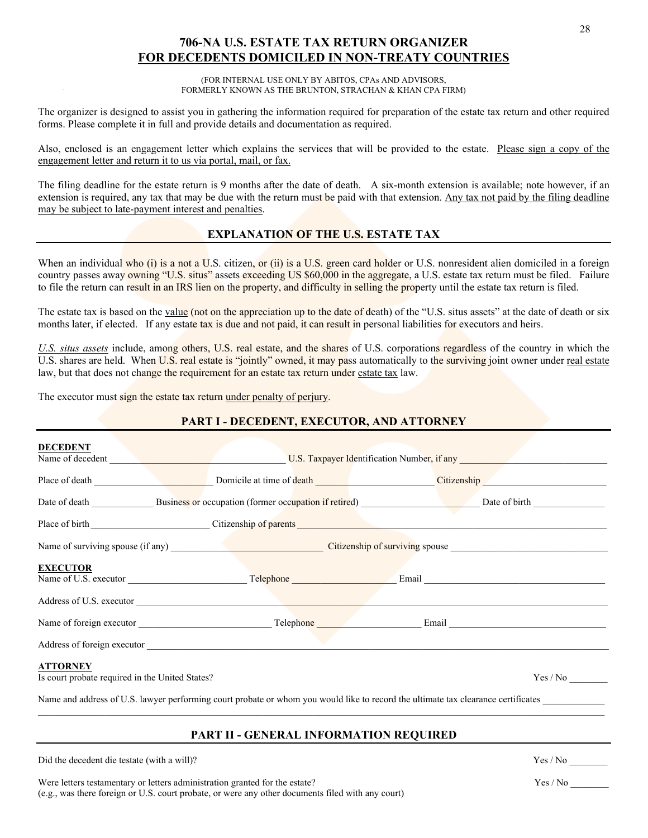# **706-NA U.S. ESTATE TAX RETURN ORGANIZER FOR DECEDENTS DOMICILED IN NON-TREATY COUNTRIES**

(FOR INTERNAL USE ONLY BY ABITOS, CPAs AND ADVISORS, FORMERLY KNOWN AS THE BRUNTON, STRACHAN & KHAN CPA FIRM)

The organizer is designed to assist you in gathering the information required for preparation of the estate tax return and other required forms. Please complete it in full and provide details and documentation as required.

Also, enclosed is an engagement letter which explains the services that will be provided to the estate. Please sign a copy of the engagement letter and return it to us via portal, mail, or fax.

The filing deadline for the estate return is 9 months after the date of death. A six-month extension is available; note however, if an extension is required, any tax that may be due with the return must be paid with that extension. Any tax not paid by the filing deadline may be subject to late-payment interest and penalties.

#### **EXPLANATION OF THE U.S. ESTATE TAX**

When an individual who (i) is a not a U.S. citizen, or (ii) is a U.S. green card holder or U.S. nonresident alien domiciled in a foreign country passes away owning "U.S. situs" assets exceeding US \$60,000 in the aggregate, a U.S. estate tax return must be filed. Failure to file the return can result in an IRS lien on the property, and difficulty in selling the property until the estate tax return is filed.

The estate tax is based on the value (not on the appreciation up to the date of death) of the "U.S. situs assets" at the date of death or six months later, if elected. If any estate tax is due and not paid, it can result in personal liabilities for executors and heirs.

*U.S. situs assets* include, among others, U.S. real estate, and the shares of U.S. corporations regardless of the country in which the U.S. shares are held. When U.S. real estate is "jointly" owned, it may pass automatically to the surviving joint owner under real estate law, but that does not change the requirement for an estate tax return under estate tax law.

The executor must sign the estate tax return under penalty of perjury.

## **PART I - DECEDENT, EXECUTOR, AND ATTORNEY**

| <b>DECEDENT</b>                                                    |                                                                                                                                                                                                                                |                                                                                                                                   |  |  |  |
|--------------------------------------------------------------------|--------------------------------------------------------------------------------------------------------------------------------------------------------------------------------------------------------------------------------|-----------------------------------------------------------------------------------------------------------------------------------|--|--|--|
|                                                                    |                                                                                                                                                                                                                                |                                                                                                                                   |  |  |  |
|                                                                    |                                                                                                                                                                                                                                |                                                                                                                                   |  |  |  |
|                                                                    |                                                                                                                                                                                                                                | Date of death Business or occupation (former occupation if retired) Date of birth Date of birth                                   |  |  |  |
|                                                                    | Place of birth Communication Citizenship of parents Communication Communication Communication Communication Communication Communication Communication Communication Communication Communication Communication Communication Co |                                                                                                                                   |  |  |  |
|                                                                    |                                                                                                                                                                                                                                |                                                                                                                                   |  |  |  |
| <b>EXECUTOR</b>                                                    |                                                                                                                                                                                                                                |                                                                                                                                   |  |  |  |
|                                                                    |                                                                                                                                                                                                                                |                                                                                                                                   |  |  |  |
|                                                                    |                                                                                                                                                                                                                                |                                                                                                                                   |  |  |  |
|                                                                    |                                                                                                                                                                                                                                |                                                                                                                                   |  |  |  |
| <b>ATTORNEY</b><br>Is court probate required in the United States? |                                                                                                                                                                                                                                |                                                                                                                                   |  |  |  |
|                                                                    |                                                                                                                                                                                                                                | Name and address of U.S. lawyer performing court probate or whom you would like to record the ultimate tax clearance certificates |  |  |  |

#### **PART II - GENERAL INFORMATION REQUIRED**

Did the decedent die testate (with a will)? Yes / No \_\_\_\_\_\_\_\_

Were letters testamentary or letters administration granted for the estate? Yes / No \_\_\_\_\_\_\_\_ (e.g., was there foreign or U.S. court probate, or were any other documents filed with any court)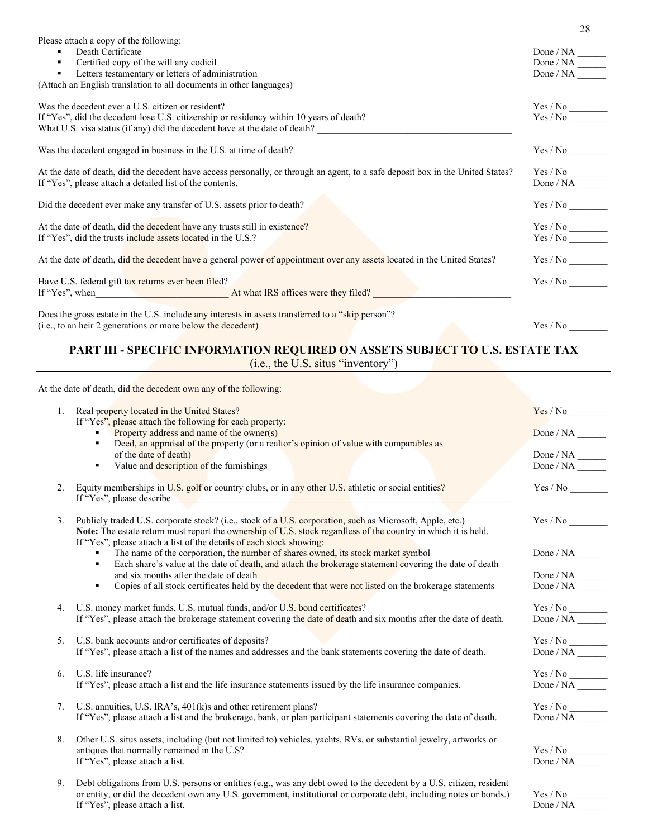| Please attach a copy of the following:                                                                                          |                                                                                                         |
|---------------------------------------------------------------------------------------------------------------------------------|---------------------------------------------------------------------------------------------------------|
| Death Certificate                                                                                                               |                                                                                                         |
| Certified copy of the will any codicil<br>٠                                                                                     | $\begin{tabular}{l} Done / NA \end{tabular} \begin{tabular}{l} \hline \textbf{Done} / NA \end{tabular}$ |
| Letters testamentary or letters of administration<br>٠.                                                                         | Done / NA                                                                                               |
| (Attach an English translation to all documents in other languages)                                                             |                                                                                                         |
| Was the decedent ever a U.S. citizen or resident?                                                                               | $\mathrm{Yes} \, / \, \mathrm{No}$                                                                      |
| If "Yes", did the decedent lose U.S. citizenship or residency within 10 years of death?                                         | Yes / No                                                                                                |
| What U.S. visa status (if any) did the decedent have at the date of death?                                                      |                                                                                                         |
| Was the decedent engaged in business in the U.S. at time of death?                                                              |                                                                                                         |
| At the date of death, did the decedent have access personally, or through an agent, to a safe deposit box in the United States? | Yes / No                                                                                                |
| If "Yes", please attach a detailed list of the contents.                                                                        | Done / NA                                                                                               |
| Did the decedent ever make any transfer of U.S. assets prior to death?                                                          |                                                                                                         |
|                                                                                                                                 |                                                                                                         |
| At the date of death, did the decedent have any trusts still in existence?                                                      | $Yes$ / $No$                                                                                            |
| If "Yes", did the trusts include assets located in the U.S.?                                                                    | Yes / No                                                                                                |
| At the date of death, did the decedent have a general power of appointment over any assets located in the United States?        |                                                                                                         |
| Have U.S. federal gift tax returns ever been filed?                                                                             | Yes / No                                                                                                |
|                                                                                                                                 |                                                                                                         |
| Does the gross estate in the U.S. include any interests in assets transferred to a "skip person"?                               |                                                                                                         |
| (i.e., to an heir 2 generations or more below the decedent)                                                                     | Yes / No                                                                                                |
|                                                                                                                                 |                                                                                                         |

# **PART III - SPECIFIC INFORMATION REQUIRED ON ASSETS SUBJECT TO U.S. ESTATE TAX**

(i.e., the U.S. situs "inventory")

|    | At the date of death, did the decedent own any of the following:                                                                                                                                                                                                                                                                      |                                                                                                         |
|----|---------------------------------------------------------------------------------------------------------------------------------------------------------------------------------------------------------------------------------------------------------------------------------------------------------------------------------------|---------------------------------------------------------------------------------------------------------|
| 1. | Real property located in the United States?<br>If "Yes", please attach the following for each property:                                                                                                                                                                                                                               |                                                                                                         |
|    | Property address and name of the owner(s)<br>Deed, an appraisal of the property (or a realtor's opinion of value with comparables as<br>٠                                                                                                                                                                                             | Done / NA                                                                                               |
|    | of the date of death)                                                                                                                                                                                                                                                                                                                 |                                                                                                         |
|    | Value and description of the furnishings<br>٠                                                                                                                                                                                                                                                                                         | $\begin{tabular}{l} Done / NA \end{tabular} \begin{tabular}{l} \hline \textbf{Done} / NA \end{tabular}$ |
| 2. | Equity memberships in U.S. golf or country clubs, or in any other U.S. athletic or social entities?<br>If "Yes", please describe which is a set of the set of the set of the set of the set of the set of the set of the set of the set of the set of the set of the set of the set of the set of the set of the set of the set of th | Yes / No                                                                                                |
| 3. | Publicly traded U.S. corporate stock? (i.e., stock of a U.S. corporation, such as Microsoft, Apple, etc.)<br>Note: The estate return must report the ownership of U.S. stock regardless of the country in which it is held.<br>If "Yes", please attach a list of the details of each stock showing:                                   |                                                                                                         |
|    | The name of the corporation, the number of shares owned, its stock market symbol                                                                                                                                                                                                                                                      |                                                                                                         |
|    | Each share's value at the date of death, and attach the brokerage statement covering the date of death<br>٠                                                                                                                                                                                                                           |                                                                                                         |
|    | and six months after the date of death                                                                                                                                                                                                                                                                                                | Done / NA $\_\_\_\_\_\_\_\_\_\_\_\_\_$                                                                  |
|    | Copies of all stock certificates held by the decedent that were not listed on the brokerage statements<br>٠                                                                                                                                                                                                                           |                                                                                                         |
| 4. | U.S. money market funds, U.S. mutual funds, and/or U.S. bond certificates?                                                                                                                                                                                                                                                            |                                                                                                         |
|    | If "Yes", please attach the brokerage statement covering the date of death and six months after the date of death.                                                                                                                                                                                                                    |                                                                                                         |
| 5. | U.S. bank accounts and/or certificates of deposits?                                                                                                                                                                                                                                                                                   |                                                                                                         |
|    | If "Yes", please attach a list of the names and addresses and the bank statements covering the date of death.                                                                                                                                                                                                                         |                                                                                                         |
| 6. | U.S. life insurance?                                                                                                                                                                                                                                                                                                                  |                                                                                                         |
|    | If "Yes", please attach a list and the life insurance statements issued by the life insurance companies.                                                                                                                                                                                                                              | $\frac{\text{Yes} / \text{No}}{\text{Done} / \text{NA}}$                                                |
| 7. | U.S. annuities, U.S. IRA's, 401(k)s and other retirement plans?                                                                                                                                                                                                                                                                       |                                                                                                         |
|    | If "Yes", please attach a list and the brokerage, bank, or plan participant statements covering the date of death.                                                                                                                                                                                                                    | $\frac{\text{Yes / No}}{\text{Done / NA}}$                                                              |
|    |                                                                                                                                                                                                                                                                                                                                       |                                                                                                         |
| 8. | Other U.S. situs assets, including (but not limited to) vehicles, yachts, RVs, or substantial jewelry, artworks or                                                                                                                                                                                                                    |                                                                                                         |
|    | antiques that normally remained in the U.S?                                                                                                                                                                                                                                                                                           | $Yes / No$<br>Done / NA                                                                                 |
|    | If "Yes", please attach a list.                                                                                                                                                                                                                                                                                                       |                                                                                                         |
| 9. | Debt obligations from U.S. persons or entities (e.g., was any debt owed to the decedent by a U.S. citizen, resident                                                                                                                                                                                                                   |                                                                                                         |
|    | or entity, or did the decedent own any U.S. government, institutional or corporate debt, including notes or bonds.)                                                                                                                                                                                                                   | Yes / No                                                                                                |

If "Yes", please attach a list. Done / NA

28